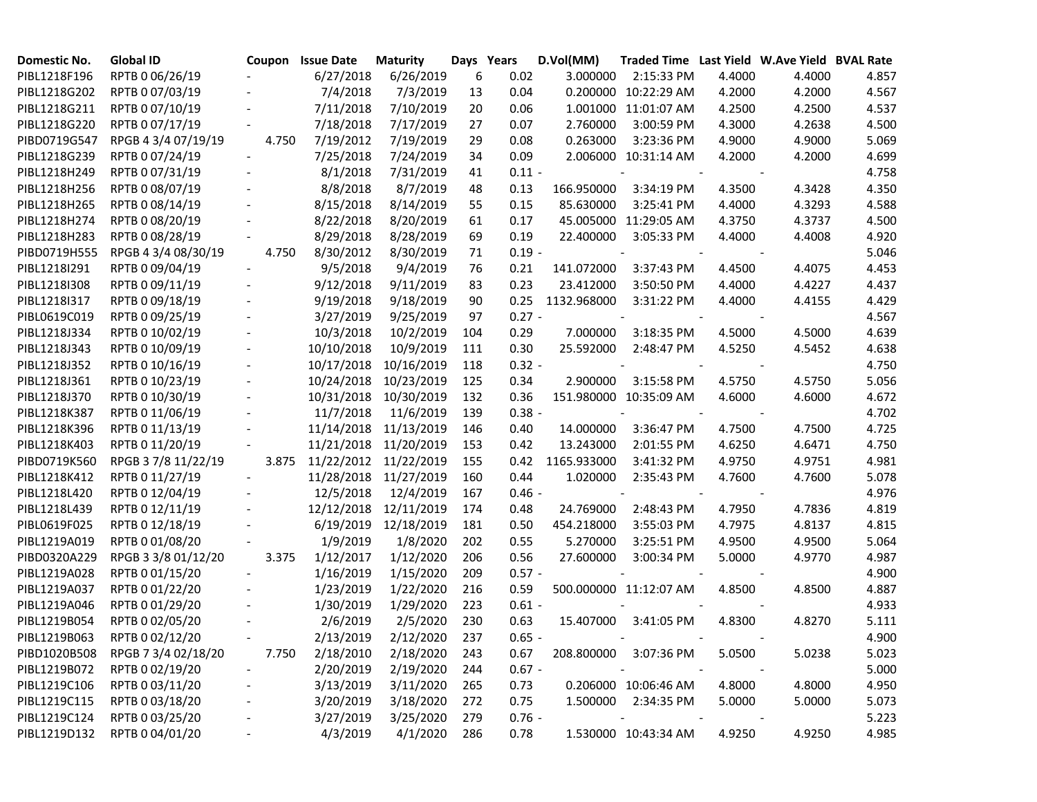| Domestic No. | <b>Global ID</b>    |                          | Coupon Issue Date | <b>Maturity</b>       |     | Days Years | D.Vol(MM)   | Traded Time Last Yield W.Ave Yield BVAL Rate |        |        |       |
|--------------|---------------------|--------------------------|-------------------|-----------------------|-----|------------|-------------|----------------------------------------------|--------|--------|-------|
| PIBL1218F196 | RPTB 0 06/26/19     |                          | 6/27/2018         | 6/26/2019             | 6   | 0.02       | 3.000000    | 2:15:33 PM                                   | 4.4000 | 4.4000 | 4.857 |
| PIBL1218G202 | RPTB 0 07/03/19     |                          | 7/4/2018          | 7/3/2019              | 13  | 0.04       |             | 0.200000 10:22:29 AM                         | 4.2000 | 4.2000 | 4.567 |
| PIBL1218G211 | RPTB 0 07/10/19     |                          | 7/11/2018         | 7/10/2019             | 20  | 0.06       |             | 1.001000 11:01:07 AM                         | 4.2500 | 4.2500 | 4.537 |
| PIBL1218G220 | RPTB 0 07/17/19     |                          | 7/18/2018         | 7/17/2019             | 27  | 0.07       | 2.760000    | 3:00:59 PM                                   | 4.3000 | 4.2638 | 4.500 |
| PIBD0719G547 | RPGB 4 3/4 07/19/19 | 4.750                    | 7/19/2012         | 7/19/2019             | 29  | 0.08       | 0.263000    | 3:23:36 PM                                   | 4.9000 | 4.9000 | 5.069 |
| PIBL1218G239 | RPTB 0 07/24/19     |                          | 7/25/2018         | 7/24/2019             | 34  | 0.09       |             | 2.006000 10:31:14 AM                         | 4.2000 | 4.2000 | 4.699 |
| PIBL1218H249 | RPTB 0 07/31/19     |                          | 8/1/2018          | 7/31/2019             | 41  | $0.11 -$   |             |                                              |        |        | 4.758 |
| PIBL1218H256 | RPTB 0 08/07/19     |                          | 8/8/2018          | 8/7/2019              | 48  | 0.13       | 166.950000  | 3:34:19 PM                                   | 4.3500 | 4.3428 | 4.350 |
| PIBL1218H265 | RPTB 0 08/14/19     |                          | 8/15/2018         | 8/14/2019             | 55  | 0.15       | 85.630000   | 3:25:41 PM                                   | 4.4000 | 4.3293 | 4.588 |
| PIBL1218H274 | RPTB 0 08/20/19     |                          | 8/22/2018         | 8/20/2019             | 61  | 0.17       |             | 45.005000 11:29:05 AM                        | 4.3750 | 4.3737 | 4.500 |
| PIBL1218H283 | RPTB 0 08/28/19     |                          | 8/29/2018         | 8/28/2019             | 69  | 0.19       | 22.400000   | 3:05:33 PM                                   | 4.4000 | 4.4008 | 4.920 |
| PIBD0719H555 | RPGB 4 3/4 08/30/19 | 4.750                    | 8/30/2012         | 8/30/2019             | 71  | $0.19 -$   |             |                                              |        |        | 5.046 |
| PIBL1218I291 | RPTB 0 09/04/19     |                          | 9/5/2018          | 9/4/2019              | 76  | 0.21       | 141.072000  | 3:37:43 PM                                   | 4.4500 | 4.4075 | 4.453 |
| PIBL1218I308 | RPTB 0 09/11/19     |                          | 9/12/2018         | 9/11/2019             | 83  | 0.23       | 23.412000   | 3:50:50 PM                                   | 4.4000 | 4.4227 | 4.437 |
| PIBL1218I317 | RPTB 0 09/18/19     |                          | 9/19/2018         | 9/18/2019             | 90  | 0.25       | 1132.968000 | 3:31:22 PM                                   | 4.4000 | 4.4155 | 4.429 |
| PIBL0619C019 | RPTB 0 09/25/19     |                          | 3/27/2019         | 9/25/2019             | 97  | $0.27 -$   |             |                                              |        |        | 4.567 |
| PIBL1218J334 | RPTB 0 10/02/19     |                          | 10/3/2018         | 10/2/2019             | 104 | 0.29       | 7.000000    | 3:18:35 PM                                   | 4.5000 | 4.5000 | 4.639 |
| PIBL1218J343 | RPTB 0 10/09/19     | $\overline{\phantom{a}}$ | 10/10/2018        | 10/9/2019             | 111 | 0.30       | 25.592000   | 2:48:47 PM                                   | 4.5250 | 4.5452 | 4.638 |
| PIBL1218J352 | RPTB 0 10/16/19     |                          | 10/17/2018        | 10/16/2019            | 118 | $0.32 -$   |             |                                              |        |        | 4.750 |
| PIBL1218J361 | RPTB 0 10/23/19     |                          | 10/24/2018        | 10/23/2019            | 125 | 0.34       | 2.900000    | 3:15:58 PM                                   | 4.5750 | 4.5750 | 5.056 |
| PIBL1218J370 | RPTB 0 10/30/19     |                          | 10/31/2018        | 10/30/2019            | 132 | 0.36       |             | 151.980000 10:35:09 AM                       | 4.6000 | 4.6000 | 4.672 |
| PIBL1218K387 | RPTB 0 11/06/19     |                          | 11/7/2018         | 11/6/2019             | 139 | $0.38 -$   |             |                                              |        |        | 4.702 |
| PIBL1218K396 | RPTB 0 11/13/19     |                          |                   | 11/14/2018 11/13/2019 | 146 | 0.40       | 14.000000   | 3:36:47 PM                                   | 4.7500 | 4.7500 | 4.725 |
| PIBL1218K403 | RPTB 0 11/20/19     |                          | 11/21/2018        | 11/20/2019            | 153 | 0.42       | 13.243000   | 2:01:55 PM                                   | 4.6250 | 4.6471 | 4.750 |
| PIBD0719K560 | RPGB 37/8 11/22/19  | 3.875                    |                   | 11/22/2012 11/22/2019 | 155 | 0.42       | 1165.933000 | 3:41:32 PM                                   | 4.9750 | 4.9751 | 4.981 |
| PIBL1218K412 | RPTB 0 11/27/19     |                          |                   | 11/28/2018 11/27/2019 | 160 | 0.44       | 1.020000    | 2:35:43 PM                                   | 4.7600 | 4.7600 | 5.078 |
| PIBL1218L420 | RPTB 0 12/04/19     |                          | 12/5/2018         | 12/4/2019             | 167 | $0.46 -$   |             |                                              |        |        | 4.976 |
| PIBL1218L439 | RPTB 0 12/11/19     |                          | 12/12/2018        | 12/11/2019            | 174 | 0.48       | 24.769000   | 2:48:43 PM                                   | 4.7950 | 4.7836 | 4.819 |
| PIBL0619F025 | RPTB 0 12/18/19     |                          | 6/19/2019         | 12/18/2019            | 181 | 0.50       | 454.218000  | 3:55:03 PM                                   | 4.7975 | 4.8137 | 4.815 |
| PIBL1219A019 | RPTB 0 01/08/20     |                          | 1/9/2019          | 1/8/2020              | 202 | 0.55       | 5.270000    | 3:25:51 PM                                   | 4.9500 | 4.9500 | 5.064 |
| PIBD0320A229 | RPGB 3 3/8 01/12/20 | 3.375                    | 1/12/2017         | 1/12/2020             | 206 | 0.56       | 27.600000   | 3:00:34 PM                                   | 5.0000 | 4.9770 | 4.987 |
| PIBL1219A028 | RPTB 0 01/15/20     |                          | 1/16/2019         | 1/15/2020             | 209 | $0.57 -$   |             |                                              |        |        | 4.900 |
| PIBL1219A037 | RPTB 0 01/22/20     |                          | 1/23/2019         | 1/22/2020             | 216 | 0.59       |             | 500.000000 11:12:07 AM                       | 4.8500 | 4.8500 | 4.887 |
| PIBL1219A046 | RPTB 0 01/29/20     |                          | 1/30/2019         | 1/29/2020             | 223 | $0.61 -$   |             |                                              |        |        | 4.933 |
| PIBL1219B054 | RPTB 0 02/05/20     |                          | 2/6/2019          | 2/5/2020              | 230 | 0.63       | 15.407000   | 3:41:05 PM                                   | 4.8300 | 4.8270 | 5.111 |
| PIBL1219B063 | RPTB 0 02/12/20     |                          | 2/13/2019         | 2/12/2020             | 237 | $0.65 -$   |             |                                              |        |        | 4.900 |
| PIBD1020B508 | RPGB 7 3/4 02/18/20 | 7.750                    | 2/18/2010         | 2/18/2020             | 243 | 0.67       |             | 208.800000 3:07:36 PM                        | 5.0500 | 5.0238 | 5.023 |
| PIBL1219B072 | RPTB 0 02/19/20     |                          | 2/20/2019         | 2/19/2020             | 244 | $0.67 -$   |             | $\overline{\phantom{a}}$                     |        |        | 5.000 |
| PIBL1219C106 | RPTB 0 03/11/20     |                          | 3/13/2019         | 3/11/2020             | 265 | 0.73       |             | 0.206000 10:06:46 AM                         | 4.8000 | 4.8000 | 4.950 |
| PIBL1219C115 | RPTB 0 03/18/20     |                          | 3/20/2019         | 3/18/2020             | 272 | 0.75       |             | 1.500000 2:34:35 PM                          | 5.0000 | 5.0000 | 5.073 |
| PIBL1219C124 | RPTB 0 03/25/20     |                          | 3/27/2019         | 3/25/2020             | 279 | $0.76 -$   |             | $\blacksquare$                               |        |        | 5.223 |
| PIBL1219D132 | RPTB 0 04/01/20     |                          | 4/3/2019          | 4/1/2020              | 286 | 0.78       |             | 1.530000 10:43:34 AM                         | 4.9250 | 4.9250 | 4.985 |
|              |                     |                          |                   |                       |     |            |             |                                              |        |        |       |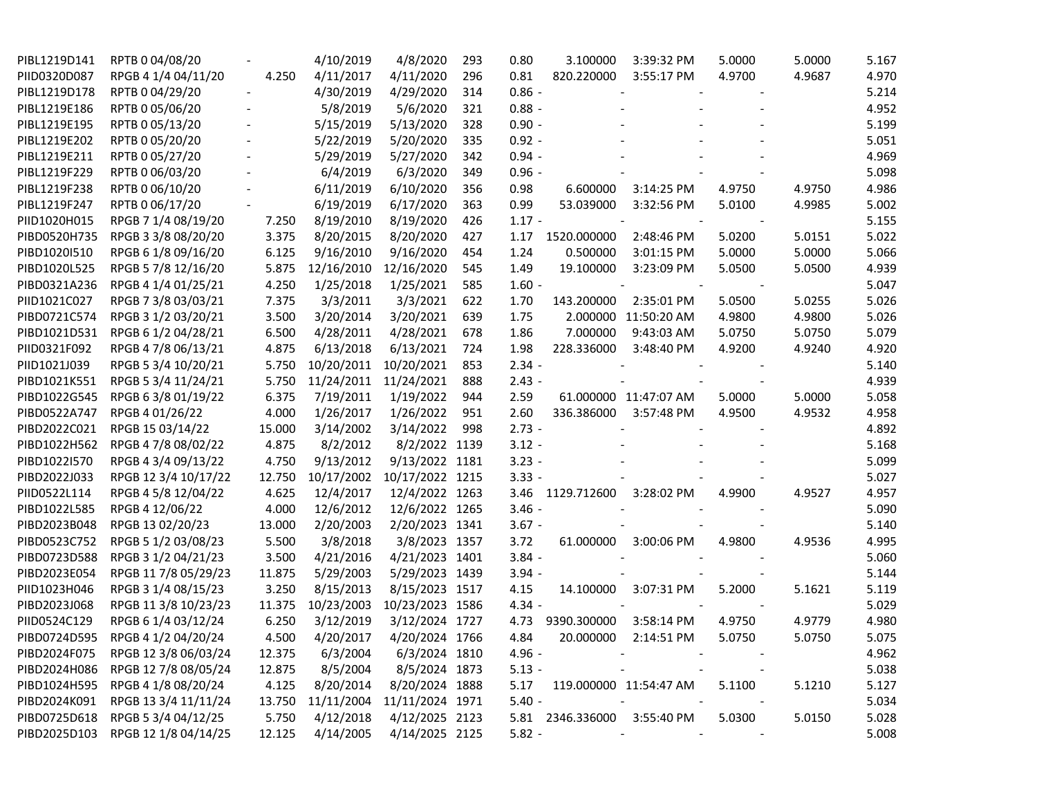| PIBL1219D141 | RPTB 0 04/08/20      |                          | 4/10/2019  | 4/8/2020        | 293 | 3.100000<br>0.80            | 3:39:32 PM             | 5.0000 | 5.0000 | 5.167 |
|--------------|----------------------|--------------------------|------------|-----------------|-----|-----------------------------|------------------------|--------|--------|-------|
| PIID0320D087 | RPGB 4 1/4 04/11/20  | 4.250                    | 4/11/2017  | 4/11/2020       | 296 | 0.81<br>820.220000          | 3:55:17 PM             | 4.9700 | 4.9687 | 4.970 |
| PIBL1219D178 | RPTB 0 04/29/20      | $\overline{\phantom{a}}$ | 4/30/2019  | 4/29/2020       | 314 | $0.86 -$                    | $\blacksquare$         |        |        | 5.214 |
| PIBL1219E186 | RPTB 0 05/06/20      |                          | 5/8/2019   | 5/6/2020        | 321 | $0.88 -$                    |                        |        |        | 4.952 |
| PIBL1219E195 | RPTB 0 05/13/20      |                          | 5/15/2019  | 5/13/2020       | 328 | $0.90 -$                    |                        |        |        | 5.199 |
| PIBL1219E202 | RPTB 0 05/20/20      |                          | 5/22/2019  | 5/20/2020       | 335 | $0.92 -$                    |                        |        |        | 5.051 |
| PIBL1219E211 | RPTB 0 05/27/20      |                          | 5/29/2019  | 5/27/2020       | 342 | $0.94 -$                    |                        |        |        | 4.969 |
| PIBL1219F229 | RPTB 0 06/03/20      |                          | 6/4/2019   | 6/3/2020        | 349 | $0.96 -$                    |                        |        |        | 5.098 |
| PIBL1219F238 | RPTB 0 06/10/20      |                          | 6/11/2019  | 6/10/2020       | 356 | 0.98<br>6.600000            | 3:14:25 PM             | 4.9750 | 4.9750 | 4.986 |
| PIBL1219F247 | RPTB 0 06/17/20      |                          | 6/19/2019  | 6/17/2020       | 363 | 0.99<br>53.039000           | 3:32:56 PM             | 5.0100 | 4.9985 | 5.002 |
| PIID1020H015 | RPGB 7 1/4 08/19/20  | 7.250                    | 8/19/2010  | 8/19/2020       | 426 | $1.17 -$                    |                        |        |        | 5.155 |
| PIBD0520H735 | RPGB 3 3/8 08/20/20  | 3.375                    | 8/20/2015  | 8/20/2020       | 427 | 1.17<br>1520.000000         | 2:48:46 PM             | 5.0200 | 5.0151 | 5.022 |
| PIBD1020I510 | RPGB 6 1/8 09/16/20  | 6.125                    | 9/16/2010  | 9/16/2020       | 454 | 0.500000<br>1.24            | 3:01:15 PM             | 5.0000 | 5.0000 | 5.066 |
| PIBD1020L525 | RPGB 5 7/8 12/16/20  | 5.875                    | 12/16/2010 | 12/16/2020      | 545 | 19.100000<br>1.49           | 3:23:09 PM             | 5.0500 | 5.0500 | 4.939 |
| PIBD0321A236 | RPGB 4 1/4 01/25/21  | 4.250                    | 1/25/2018  | 1/25/2021       | 585 | $1.60 -$                    |                        |        |        | 5.047 |
| PIID1021C027 | RPGB 7 3/8 03/03/21  | 7.375                    | 3/3/2011   | 3/3/2021        | 622 | 1.70<br>143.200000          | 2:35:01 PM             | 5.0500 | 5.0255 | 5.026 |
| PIBD0721C574 | RPGB 3 1/2 03/20/21  | 3.500                    | 3/20/2014  | 3/20/2021       | 639 | 1.75<br>2.000000            | 11:50:20 AM            | 4.9800 | 4.9800 | 5.026 |
| PIBD1021D531 | RPGB 6 1/2 04/28/21  | 6.500                    | 4/28/2011  | 4/28/2021       | 678 | 7.000000<br>1.86            | 9:43:03 AM             | 5.0750 | 5.0750 | 5.079 |
| PIID0321F092 | RPGB 4 7/8 06/13/21  | 4.875                    | 6/13/2018  | 6/13/2021       | 724 | 1.98<br>228.336000          | 3:48:40 PM             | 4.9200 | 4.9240 | 4.920 |
| PIID1021J039 | RPGB 5 3/4 10/20/21  | 5.750                    | 10/20/2011 | 10/20/2021      | 853 | $2.34 -$                    |                        |        |        | 5.140 |
| PIBD1021K551 | RPGB 5 3/4 11/24/21  | 5.750                    | 11/24/2011 | 11/24/2021      | 888 | $2.43 -$                    |                        |        |        | 4.939 |
| PIBD1022G545 | RPGB 63/8 01/19/22   | 6.375                    | 7/19/2011  | 1/19/2022       | 944 | 2.59                        | 61.000000 11:47:07 AM  | 5.0000 | 5.0000 | 5.058 |
| PIBD0522A747 | RPGB 4 01/26/22      | 4.000                    | 1/26/2017  | 1/26/2022       | 951 | 2.60<br>336.386000          | 3:57:48 PM             | 4.9500 | 4.9532 | 4.958 |
| PIBD2022C021 | RPGB 15 03/14/22     | 15.000                   | 3/14/2002  | 3/14/2022       | 998 | $2.73 -$                    |                        |        |        | 4.892 |
| PIBD1022H562 | RPGB 4 7/8 08/02/22  | 4.875                    | 8/2/2012   | 8/2/2022 1139   |     | $3.12 -$                    |                        |        |        | 5.168 |
| PIBD1022I570 | RPGB 4 3/4 09/13/22  | 4.750                    | 9/13/2012  | 9/13/2022 1181  |     | $3.23 -$                    |                        |        |        | 5.099 |
| PIBD2022J033 | RPGB 12 3/4 10/17/22 | 12.750                   | 10/17/2002 | 10/17/2022 1215 |     | $3.33 -$                    |                        |        |        | 5.027 |
| PIID0522L114 | RPGB 4 5/8 12/04/22  | 4.625                    | 12/4/2017  | 12/4/2022 1263  |     | 3.46<br>1129.712600         | 3:28:02 PM             | 4.9900 | 4.9527 | 4.957 |
| PIBD1022L585 | RPGB 4 12/06/22      | 4.000                    | 12/6/2012  | 12/6/2022 1265  |     | $3.46 -$                    |                        |        |        | 5.090 |
| PIBD2023B048 | RPGB 13 02/20/23     | 13.000                   | 2/20/2003  | 2/20/2023 1341  |     | $3.67 -$                    |                        |        |        | 5.140 |
| PIBD0523C752 | RPGB 5 1/2 03/08/23  | 5.500                    | 3/8/2018   | 3/8/2023 1357   |     | 3.72<br>61.000000           | 3:00:06 PM             | 4.9800 | 4.9536 | 4.995 |
| PIBD0723D588 | RPGB 3 1/2 04/21/23  | 3.500                    | 4/21/2016  | 4/21/2023 1401  |     | $3.84 -$                    |                        |        |        | 5.060 |
| PIBD2023E054 | RPGB 11 7/8 05/29/23 | 11.875                   | 5/29/2003  | 5/29/2023 1439  |     | $3.94 -$                    |                        |        |        | 5.144 |
| PIID1023H046 | RPGB 3 1/4 08/15/23  | 3.250                    | 8/15/2013  | 8/15/2023 1517  |     | 4.15<br>14.100000           | 3:07:31 PM             | 5.2000 | 5.1621 | 5.119 |
| PIBD2023J068 | RPGB 11 3/8 10/23/23 | 11.375                   | 10/23/2003 | 10/23/2023 1586 |     | $4.34 -$                    |                        |        |        | 5.029 |
| PIID0524C129 | RPGB 6 1/4 03/12/24  | 6.250                    | 3/12/2019  | 3/12/2024 1727  |     | 4.73<br>9390.300000         | 3:58:14 PM             | 4.9750 | 4.9779 | 4.980 |
| PIBD0724D595 | RPGB 4 1/2 04/20/24  | 4.500                    | 4/20/2017  | 4/20/2024 1766  |     | 4.84<br>20.000000           | 2:14:51 PM             | 5.0750 | 5.0750 | 5.075 |
| PIBD2024F075 | RPGB 12 3/8 06/03/24 | 12.375                   | 6/3/2004   | 6/3/2024 1810   |     | $4.96 -$                    |                        |        |        | 4.962 |
| PIBD2024H086 | RPGB 12 7/8 08/05/24 | 12.875                   | 8/5/2004   | 8/5/2024 1873   |     | $5.13 -$                    |                        |        |        | 5.038 |
| PIBD1024H595 | RPGB 4 1/8 08/20/24  | 4.125                    | 8/20/2014  | 8/20/2024 1888  |     | 5.17                        | 119.000000 11:54:47 AM | 5.1100 | 5.1210 | 5.127 |
| PIBD2024K091 | RPGB 13 3/4 11/11/24 | 13.750                   | 11/11/2004 | 11/11/2024 1971 |     | $5.40 -$                    |                        |        |        | 5.034 |
| PIBD0725D618 | RPGB 5 3/4 04/12/25  | 5.750                    | 4/12/2018  | 4/12/2025 2123  |     | 5.81 2346.336000 3:55:40 PM |                        | 5.0300 | 5.0150 | 5.028 |
| PIBD2025D103 | RPGB 12 1/8 04/14/25 | 12.125                   | 4/14/2005  | 4/14/2025 2125  |     | $5.82 -$                    |                        |        |        | 5.008 |